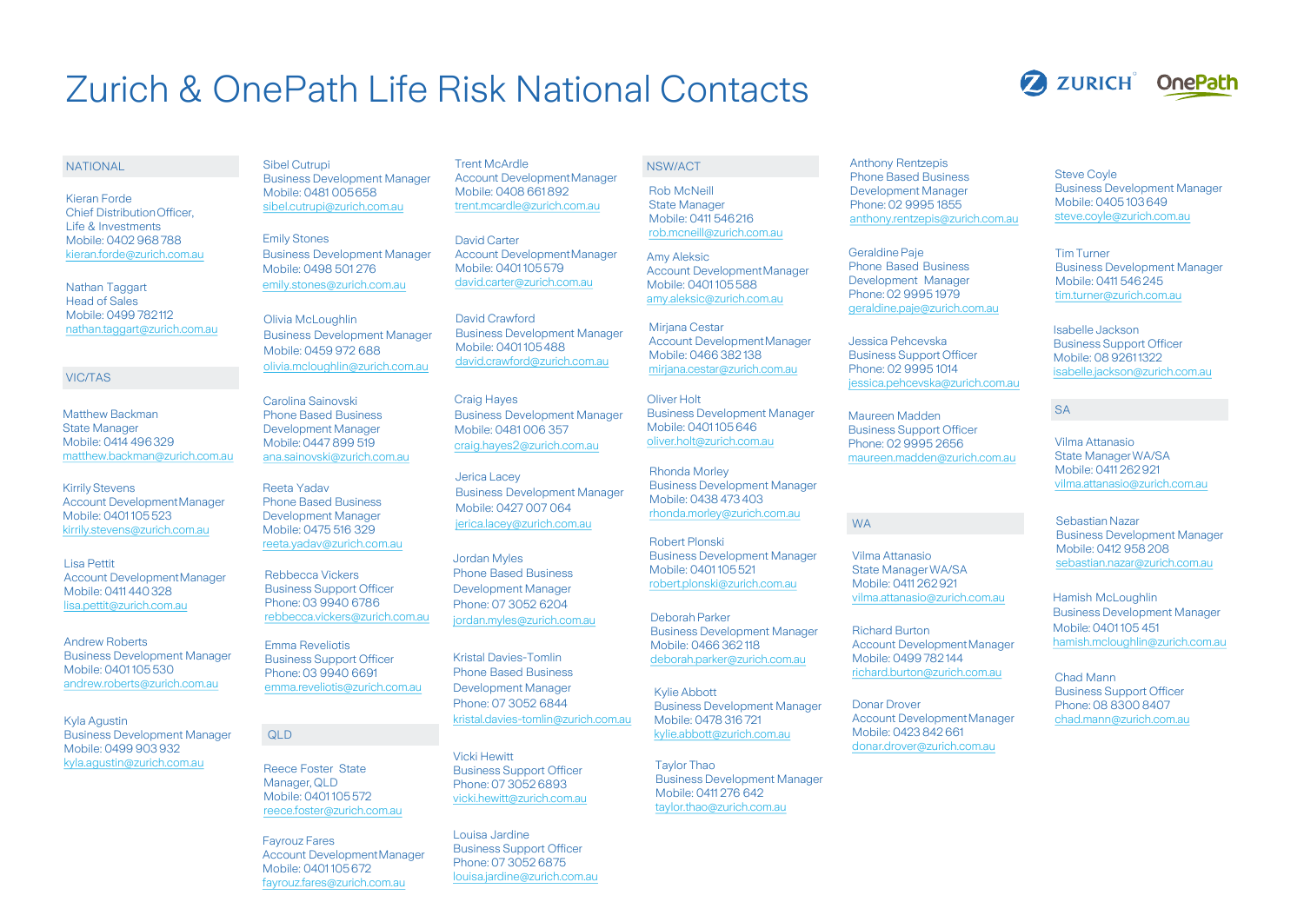## Zurich & OnePath Life Risk National Contacts

### **ZURICH** OnePath

#### NATIONAL

Kieran Forde Chief DistributionOfficer, Life & Investments Mobile: 0402 968788 [kieran.forde@zurich.com.au](mailto:kieran.forde@zurich.com.au)

Nathan Taggart Head of Sales Mobile: 0499 782112 [nathan.taggart@zurich.com.au](mailto:nathan.taggart@zurich.com.au)

#### VIC/TAS

Matthew Backman State Manager Mobile: 0414 496329 [matthew.backman@zurich.com.au](mailto:matthew.backman@zurich.com.au)

**Kirrily Stevens** Account DevelopmentManager Mobile: 0401 105523 [kirrily.stevens@zurich.com.au](mailto:Kirrily.stevens@zurich.com.au)

Lisa Pettit [Account DevelopmentManager](mailto:lisa.pettit@zurich.com.au)  Mobile: 0411 440328 [lisa.pettit@zurich.com.au](mailto:lisa.pettit@zurich.com.au)

Andrew Roberts Business Development Manager Mobile: 0401 105530 [andrew.roberts@zurich.com.au](mailto:andrew.roberts@zurich.com.au)

Kyla Agustin Business Development Manager Mobile: 0499 903 932 [kyla.agustin@zurich.com.au](mailto:Kyla.agustin@zurich.com.au)

Sibel Cutrupi Business Development Manager Mobile: 0481 005658 [sibel.cutrupi@zurich.com.au](mailto:sibel.cutrupi@zurich.com.au)

Emily Stones Business Development Manager Mobile: 0498 501 276 [emily.stones@zurich.com.au](mailto:emily.stones@zurich.com.au)

Olivia McLoughlin Business Development Manager Mobile: 0459 972 688 [olivia.mcloughlin@zurich.com.au](mailto:Olivia.mcloughlin@zurich.com.au)

Carolina Sainovski Phone Based Business Development Manager Mobile: 0447 899 519 [ana.sainovski@zurich.com.au](mailto:ana.sainovski@zurich.com.au)

Reeta Yadav Phone Based Business Development Manager Mobile: 0475 516 329 [reeta.yadav@zurich.com.au](mailto:reeta.Yadav@zurich.com.au)

Rebbecca Vickers Business Support Officer Phone: 03 9940 6786 [rebbecca.vickers@zurich.com.au](mailto:rebbecca.vickers@zurich.com.au)

Emma Reveliotis Business Support Officer Phone: 03 9940 6691 [emma.reveliotis@zurich.com.au](mailto:emma.reveliotis@zurich.com.aau)

### QLD

Reece Foster State Manager, QLD Mobile: 0401 105572 [reece.foster@zurich.com.au](mailto:reece.foster@zurich.com.au)

Fayrouz Fares Account DevelopmentManager Mobile: 0401 105672 [fayrouz.fares@zurich.com.au](mailto:fayrouz.fares@zurich.com.au)

Trent McArdle Account DevelopmentManager Mobile: 0408 661892 [trent.mcardle@zurich.com.au](mailto:trent.mcardle@zurich.com.au)

David Carter Account DevelopmentManager Mobile: 0401 105579 [david.carter@zurich.com.au](mailto:david.carter@zurich.com.au)

David Crawford Business Development Manager Mobile: 0401 105488 [david.crawford@zurich.com.au](mailto:david.crawford@zurich.com.au)

Craig Hayes Business Development Manager Mobile: 0481 006 357 [craig.hayes2@zurich.com.au](mailto:Craig.hayes2@zurich.com.au)

Jerica Lacey Business Development Manager Mobile: 0427 007 064 [jerica.lacey@zurich.com.au](mailto:Jerica.lacey@zurich.com.au)

Jordan Myles Phone Based Business Development Manager Phone: 07 3052 6204 [jordan.myles@zurich.com.au](mailto:Jordan.myles@zurich.com.au)

Kristal Davies-Tomlin Phone Based Business Development Manager Phone: 07 3052 6844 [kristal.davies-tomlin@zurich.com.au](mailto:Kristal.davies-Tomlin@zurich.com.au)

Vicki Hewitt Business Support Officer Phone: 07 3052 6893 [vicki.hewitt@zurich.com.au](mailto:Vicki.hewitt@zurich.com.au)

Louisa Jardine Business Support Officer Phone: 07 3052 6875 [louisa.jardine@zurich.com.au](mailto:Vicki.hewitt@zurich.com.au)

### NSW/ACT

Rob McNeill State Manager Mobile: 0411 546216 [rob.mcneill@zurich.com.au](mailto:rob.mcneill@zurich.com.au)

Amy Aleksic Account DevelopmentManager Mobile: 0401 105588 [amy.aleksic@zurich.com.au](mailto:amy.aleksic@zurich.com.au)

Mirjana Cestar Account DevelopmentManager Mobile: 0466 382 138 [mirjana.cestar@zurich.com.au](mailto:mirjana.cestar@zurich.com.au)

Oliver Holt Business Development Manager Mobile: 0401 105646 [oliver.holt@zurich.com.au](mailto:oliver.holt@zurich.com.au)

Rhonda Morley Business Development Manager Mobile: 0438 473 403 [rhonda.morley@zurich.com.au](mailto:rhonda.morley@zurich.com.au)

Robert Plonski Business Development Manager Mobile: 0401 105521 [robert.plonski@zurich.com.au](mailto:robert.plonski@zurich.com.au)

DeborahParker Business Development Manager Mobile: 0466 362 118 [deborah.parker@zurich.com.au](mailto:deborah.parker@zurich.com.au)

KylieAbbott Business Development Manager Mobile: 0478 316 721 kylie.abbott@zurich.com.au

Taylor Thao Business Development Manager Mobile: 0411 276 642 [taylor.thao@zurich.com.au](mailto:Taylor.thao@zurich.com.au)

Anthony Rentzepis Phone Based Business Development Manager Phone: 02 9995 1855 [anthony.rentzepis@zurich.com.au](mailto:anthony.rentzepis@zurich.com.au)

Geraldine Paje Phone Based Business Development Manager Phone: 02 9995 1979 [geraldine.paje@zurich.com.au](mailto:geraldine.paje@zurich.com.au)

Jessica Pehcevska Business Support Officer Phone: 02 9995 1014 jessica.pehcevska@zurich.com.au

Maureen Madden Business Support Officer Phone: 02 9995 2656 [maureen.madden@zurich.com.au](mailto:maureen.madden@zurich.com.au)

### WA

Vilma Attanasio State ManagerWA/SA Mobile: 0411 262921 [vilma.attanasio@zurich.com.au](mailto:vilma.attanasio@zurich.com.au)

Richard Burton Account DevelopmentManager Mobile: 0499 782 144 [richard.burton@zurich.com.au](mailto:richard.burton@zurich.com.au)

Donar Drover Account DevelopmentManager Mobile: 0423 842661 [donar.drover@zurich.com.au](mailto:Donar.drover@zurich.com.au)

Steve Coyle Business Development Manager Mobile: 0405 103649 [steve.coyle@zurich.com.au](mailto:steve.coyle@zurich.com.au)

Tim Turner Business Development Manager Mobile: 0411 546245 [tim.turner@zurich.com.au](mailto:tim.turner@zurich.com.au)

Isabelle Jackson Business Support Officer Mobile: 08 92611322 [isabelle.jackson@zurich.com.au](mailto:isabelle.jackson@zurich.com.au)

### SA

Vilma Attanasio State ManagerWA/SA Mobile: 0411 262921 [vilma.attanasio@zurich.com.au](mailto:vilma.attanasio@zurich.com.au)

SebastianNazar Business Development Manager Mobile: 0412 958 208 [sebastian.nazar@zurich.com.au](mailto:sebastian.nazar@zurich.com.au)

Hamish McLoughlin Business Development Manager Mobile: 0401 105 451 [hamish.mcloughlin@zurich.com.au](mailto:hamish.mcloughlin@zurich.com.au)

Chad Mann Business Support Officer Phone: 08 8300 8407 [chad.mann@zurich.com.au](mailto:chad.mann@zurich.com.au)